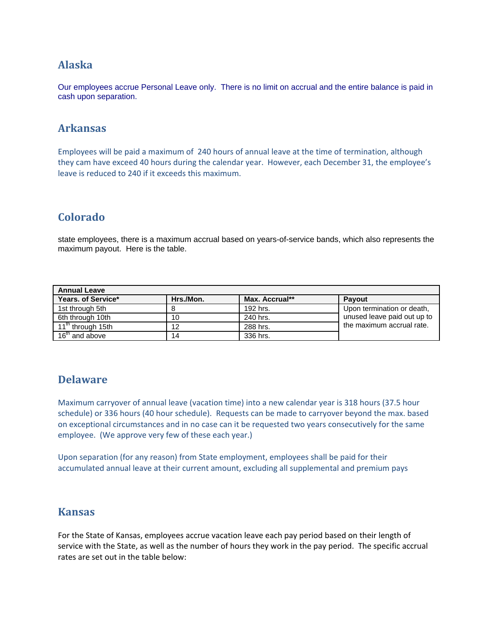## **Alaska**

Our employees accrue Personal Leave only. There is no limit on accrual and the entire balance is paid in cash upon separation.

## **Arkansas**

Employees will be paid a maximum of 240 hours of annual leave at the time of termination, although they cam have exceed 40 hours during the calendar year. However, each December 31, the employee's leave is reduced to 240 if it exceeds this maximum.

# **Colorado**

state employees, there is a maximum accrual based on years-of-service bands, which also represents the maximum payout. Here is the table.

| <b>Annual Leave</b>           |           |                |                             |  |
|-------------------------------|-----------|----------------|-----------------------------|--|
| Years, of Service*            | Hrs./Mon. | Max. Accrual** | <b>Pavout</b>               |  |
| 1st through 5th               |           | 192 hrs.       | Upon termination or death,  |  |
| 6th through 10th              | 10        | 240 hrs.       | unused leave paid out up to |  |
| 11 <sup>th</sup> through 15th | 12        | 288 hrs.       | the maximum accrual rate.   |  |
| 16 <sup>th</sup> and above    | 14        | 336 hrs.       |                             |  |

# **Delaware**

Maximum carryover of annual leave (vacation time) into a new calendar year is 318 hours (37.5 hour schedule) or 336 hours (40 hour schedule). Requests can be made to carryover beyond the max. based on exceptional circumstances and in no case can it be requested two years consecutively for the same employee. (We approve very few of these each year.)

Upon separation (for any reason) from State employment, employees shall be paid for their accumulated annual leave at their current amount, excluding all supplemental and premium pays

## **Kansas**

For the State of Kansas, employees accrue vacation leave each pay period based on their length of service with the State, as well as the number of hours they work in the pay period. The specific accrual rates are set out in the table below: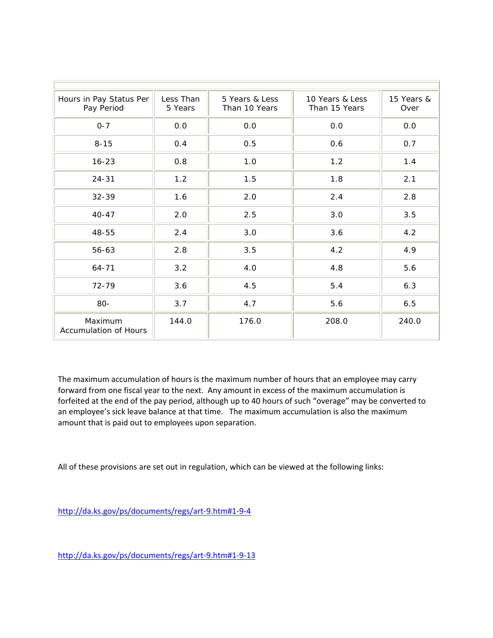| Hours in Pay Status Per<br>Pay Period   | Less Than<br>5 Years | 5 Years & Less<br>Than 10 Years | 10 Years & Less<br>Than 15 Years | 15 Years &<br>Over |
|-----------------------------------------|----------------------|---------------------------------|----------------------------------|--------------------|
| $0 - 7$                                 | 0.0                  | 0.0                             | 0.0                              | 0.0                |
| $8 - 15$                                | 0.4                  | 0.5                             | 0.6                              | 0.7                |
| $16 - 23$                               | 0.8                  | 1.0                             | 1.2                              | 1.4                |
| $24 - 31$                               | 1.2                  | 1.5                             | 1.8                              | 2.1                |
| 32-39                                   | 1.6                  | 2.0                             | 2.4                              | 2.8                |
| $40 - 47$                               | 2.0                  | 2.5                             | 3.0                              | 3.5                |
| 48-55                                   | 2.4                  | 3.0                             | 3.6                              | 4.2                |
| 56-63                                   | 2.8                  | 3.5                             | 4.2                              | 4.9                |
| $64 - 71$                               | 3.2                  | 4.0                             | 4.8                              | 5.6                |
| 72-79                                   | 3.6                  | 4.5                             | 5.4                              | 6.3                |
| 80-                                     | 3.7                  | 4.7                             | 5.6                              | 6.5                |
| Maximum<br><b>Accumulation of Hours</b> | 144.0                | 176.0                           | 208.0                            | 240.0              |

The maximum accumulation of hours is the maximum number of hours that an employee may carry forward from one fiscal year to the next. Any amount in excess of the maximum accumulation is forfeited at the end of the pay period, although up to 40 hours of such "overage" may be converted to an employee's sick leave balance at that time. The maximum accumulation is also the maximum amount that is paid out to employees upon separation.

All of these provisions are set out in regulation, which can be viewed at the following links:

http://da.ks.gov/ps/documents/regs/art‐9.htm#1‐9‐4

http://da.ks.gov/ps/documents/regs/art‐9.htm#1‐9‐13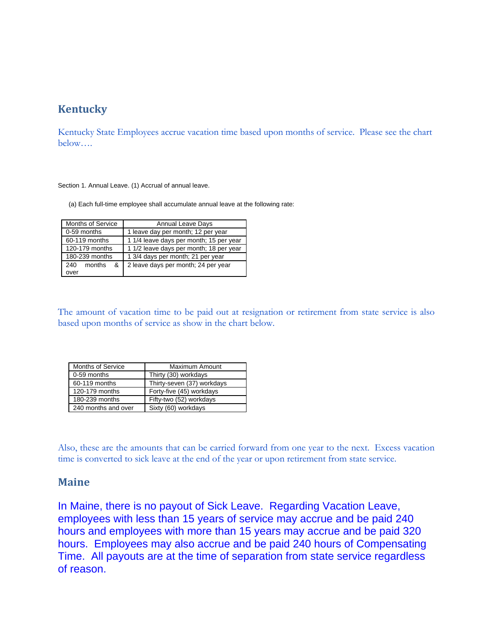# **Kentucky**

Kentucky State Employees accrue vacation time based upon months of service. Please see the chart below….

Section 1. Annual Leave. (1) Accrual of annual leave.

(a) Each full-time employee shall accumulate annual leave at the following rate:

| Months of Service  | <b>Annual Leave Days</b>                |  |
|--------------------|-----------------------------------------|--|
| 0-59 months        | 1 leave day per month; 12 per year      |  |
| 60-119 months      | 1 1/4 leave days per month; 15 per year |  |
| 120-179 months     | 1 1/2 leave days per month; 18 per year |  |
| 180-239 months     | 1 3/4 days per month; 21 per year       |  |
| 240<br>months<br>& | 2 leave days per month; 24 per year     |  |
| over               |                                         |  |

The amount of vacation time to be paid out at resignation or retirement from state service is also based upon months of service as show in the chart below.

| Months of Service   | <b>Maximum Amount</b>      |
|---------------------|----------------------------|
| 0-59 months         | Thirty (30) workdays       |
| 60-119 months       | Thirty-seven (37) workdays |
| 120-179 months      | Forty-five (45) workdays   |
| 180-239 months      | Fifty-two (52) workdays    |
| 240 months and over | Sixty (60) workdays        |

Also, these are the amounts that can be carried forward from one year to the next. Excess vacation time is converted to sick leave at the end of the year or upon retirement from state service.

### **Maine**

In Maine, there is no payout of Sick Leave. Regarding Vacation Leave, employees with less than 15 years of service may accrue and be paid 240 hours and employees with more than 15 years may accrue and be paid 320 hours. Employees may also accrue and be paid 240 hours of Compensating Time. All payouts are at the time of separation from state service regardless of reason.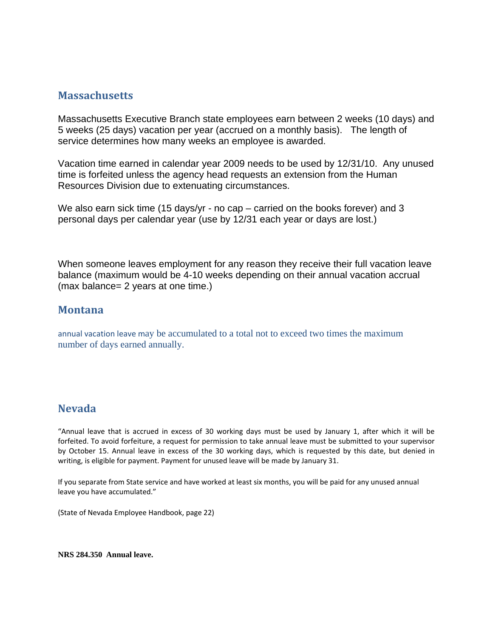## **Massachusetts**

Massachusetts Executive Branch state employees earn between 2 weeks (10 days) and 5 weeks (25 days) vacation per year (accrued on a monthly basis). The length of service determines how many weeks an employee is awarded.

Vacation time earned in calendar year 2009 needs to be used by 12/31/10. Any unused time is forfeited unless the agency head requests an extension from the Human Resources Division due to extenuating circumstances.

We also earn sick time (15 days/yr - no cap – carried on the books forever) and 3 personal days per calendar year (use by 12/31 each year or days are lost.)

When someone leaves employment for any reason they receive their full vacation leave balance (maximum would be 4-10 weeks depending on their annual vacation accrual (max balance= 2 years at one time.)

### **Montana**

annual vacation leave may be accumulated to a total not to exceed two times the maximum number of days earned annually.

## **Nevada**

"Annual leave that is accrued in excess of 30 working days must be used by January 1, after which it will be forfeited. To avoid forfeiture, a request for permission to take annual leave must be submitted to your supervisor by October 15. Annual leave in excess of the 30 working days, which is requested by this date, but denied in writing, is eligible for payment. Payment for unused leave will be made by January 31.

If you separate from State service and have worked at least six months, you will be paid for any unused annual leave you have accumulated."

(State of Nevada Employee Handbook, page 22)

**NRS 284.350 Annual leave.**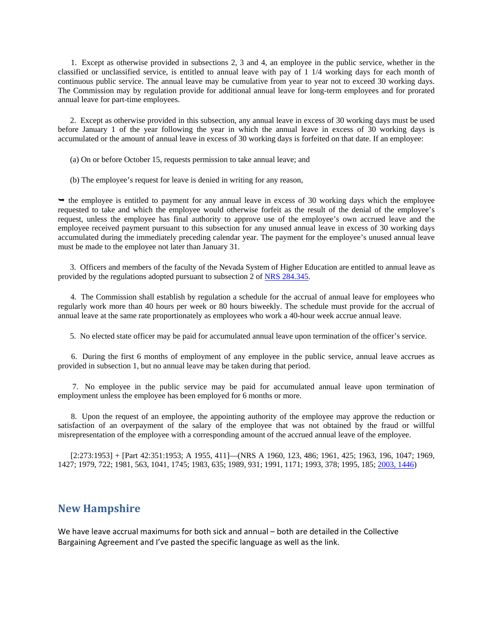1. Except as otherwise provided in subsections 2, 3 and 4, an employee in the public service, whether in the classified or unclassified service, is entitled to annual leave with pay of 1 1/4 working days for each month of continuous public service. The annual leave may be cumulative from year to year not to exceed 30 working days. The Commission may by regulation provide for additional annual leave for long-term employees and for prorated annual leave for part-time employees.

 2. Except as otherwise provided in this subsection, any annual leave in excess of 30 working days must be used before January 1 of the year following the year in which the annual leave in excess of 30 working days is accumulated or the amount of annual leave in excess of 30 working days is forfeited on that date. If an employee:

(a) On or before October 15, requests permission to take annual leave; and

(b) The employee's request for leave is denied in writing for any reason,

 $\rightarrow$  the employee is entitled to payment for any annual leave in excess of 30 working days which the employee requested to take and which the employee would otherwise forfeit as the result of the denial of the employee's request, unless the employee has final authority to approve use of the employee's own accrued leave and the employee received payment pursuant to this subsection for any unused annual leave in excess of 30 working days accumulated during the immediately preceding calendar year. The payment for the employee's unused annual leave must be made to the employee not later than January 31.

 3. Officers and members of the faculty of the Nevada System of Higher Education are entitled to annual leave as provided by the regulations adopted pursuant to subsection 2 of NRS 284.345.

 4. The Commission shall establish by regulation a schedule for the accrual of annual leave for employees who regularly work more than 40 hours per week or 80 hours biweekly. The schedule must provide for the accrual of annual leave at the same rate proportionately as employees who work a 40-hour week accrue annual leave.

5. No elected state officer may be paid for accumulated annual leave upon termination of the officer's service.

 6. During the first 6 months of employment of any employee in the public service, annual leave accrues as provided in subsection 1, but no annual leave may be taken during that period.

 7. No employee in the public service may be paid for accumulated annual leave upon termination of employment unless the employee has been employed for 6 months or more.

 8. Upon the request of an employee, the appointing authority of the employee may approve the reduction or satisfaction of an overpayment of the salary of the employee that was not obtained by the fraud or willful misrepresentation of the employee with a corresponding amount of the accrued annual leave of the employee.

 [2:273:1953] + [Part 42:351:1953; A 1955, 411]—(NRS A 1960, 123, 486; 1961, 425; 1963, 196, 1047; 1969, 1427; 1979, 722; 1981, 563, 1041, 1745; 1983, 635; 1989, 931; 1991, 1171; 1993, 378; 1995, 185; 2003, 1446)

#### **New Hampshire**

We have leave accrual maximums for both sick and annual – both are detailed in the Collective Bargaining Agreement and I've pasted the specific language as well as the link.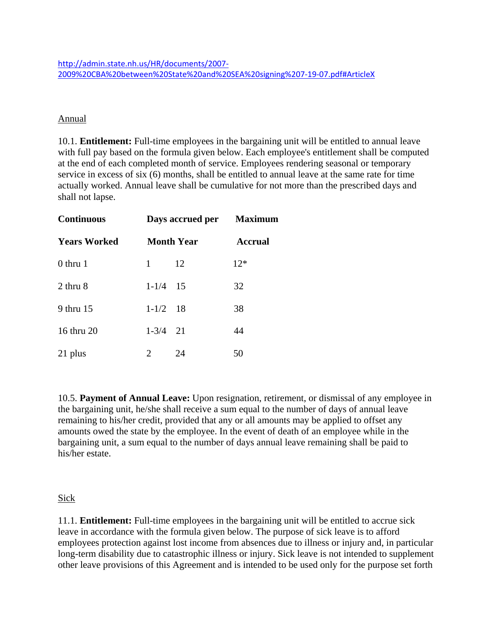#### Annual

10.1. **Entitlement:** Full-time employees in the bargaining unit will be entitled to annual leave with full pay based on the formula given below. Each employee's entitlement shall be computed at the end of each completed month of service. Employees rendering seasonal or temporary service in excess of six (6) months, shall be entitled to annual leave at the same rate for time actually worked. Annual leave shall be cumulative for not more than the prescribed days and shall not lapse.

| <b>Continuous</b>   |                   | Days accrued per Maximum |                |
|---------------------|-------------------|--------------------------|----------------|
| <b>Years Worked</b> | <b>Month Year</b> |                          | <b>Accrual</b> |
| $0$ thru 1          | 1                 | 12                       | $12*$          |
| 2 thru 8            | $1 - 1/4$ 15      |                          | 32             |
| 9 thru 15           | $1-1/2$ 18        |                          | 38             |
| 16 thru 20          | $1 - 3/4$ 21      |                          | 44             |
| 21 plus             | 2                 | 24                       | 50             |

10.5. **Payment of Annual Leave:** Upon resignation, retirement, or dismissal of any employee in the bargaining unit, he/she shall receive a sum equal to the number of days of annual leave remaining to his/her credit, provided that any or all amounts may be applied to offset any amounts owed the state by the employee. In the event of death of an employee while in the bargaining unit, a sum equal to the number of days annual leave remaining shall be paid to his/her estate.

### Sick

11.1. **Entitlement:** Full-time employees in the bargaining unit will be entitled to accrue sick leave in accordance with the formula given below. The purpose of sick leave is to afford employees protection against lost income from absences due to illness or injury and, in particular long-term disability due to catastrophic illness or injury. Sick leave is not intended to supplement other leave provisions of this Agreement and is intended to be used only for the purpose set forth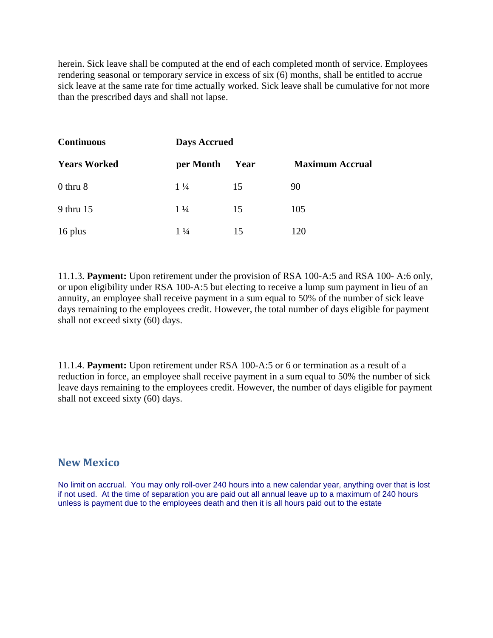herein. Sick leave shall be computed at the end of each completed month of service. Employees rendering seasonal or temporary service in excess of six (6) months, shall be entitled to accrue sick leave at the same rate for time actually worked. Sick leave shall be cumulative for not more than the prescribed days and shall not lapse.

| <b>Continuous</b>   | <b>Days Accrued</b> |      |                        |
|---------------------|---------------------|------|------------------------|
| <b>Years Worked</b> | per Month           | Year | <b>Maximum Accrual</b> |
| $0$ thru $8$        | $1\frac{1}{4}$      | 15   | 90                     |
| 9 thru 15           | $1\frac{1}{4}$      | 15   | 105                    |
| 16 plus             | $1\frac{1}{4}$      | 15   | 120                    |

11.1.3. **Payment:** Upon retirement under the provision of RSA 100-A:5 and RSA 100- A:6 only, or upon eligibility under RSA 100-A:5 but electing to receive a lump sum payment in lieu of an annuity, an employee shall receive payment in a sum equal to 50% of the number of sick leave days remaining to the employees credit. However, the total number of days eligible for payment shall not exceed sixty (60) days.

11.1.4. **Payment:** Upon retirement under RSA 100-A:5 or 6 or termination as a result of a reduction in force, an employee shall receive payment in a sum equal to 50% the number of sick leave days remaining to the employees credit. However, the number of days eligible for payment shall not exceed sixty (60) days.

### **New Mexico**

No limit on accrual. You may only roll-over 240 hours into a new calendar year, anything over that is lost if not used. At the time of separation you are paid out all annual leave up to a maximum of 240 hours unless is payment due to the employees death and then it is all hours paid out to the estate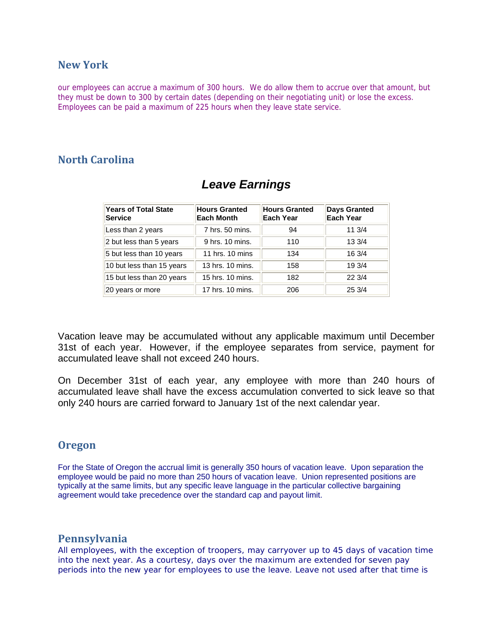## **New York**

our employees can accrue a maximum of 300 hours. We do allow them to accrue over that amount, but they must be down to 300 by certain dates (depending on their negotiating unit) or lose the excess. Employees can be paid a maximum of 225 hours when they leave state service.

## **North Carolina**

| <b>Years of Total State</b><br>Service | <b>Hours Granted</b><br><b>Each Month</b> | <b>Hours Granted</b><br><b>Each Year</b> | <b>Days Granted</b><br><b>Each Year</b> |
|----------------------------------------|-------------------------------------------|------------------------------------------|-----------------------------------------|
| Less than 2 years                      | 7 hrs. 50 mins.                           | 94                                       | 11.3/4                                  |
| 2 but less than 5 years                | 9 hrs. 10 mins.                           | 110                                      | 13 3/4                                  |
| 5 but less than 10 years               | 11 hrs. 10 mins                           | 134                                      | 16 3/4                                  |
| 10 but less than 15 years              | 13 hrs. 10 mins.                          | 158                                      | 19 3/4                                  |
| 15 but less than 20 years              | 15 hrs. 10 mins.                          | 182                                      | 223/4                                   |
| 20 years or more                       | 17 hrs. 10 mins.                          | 206                                      | 25 3/4                                  |

# *Leave Earnings*

Vacation leave may be accumulated without any applicable maximum until December 31st of each year. However, if the employee separates from service, payment for accumulated leave shall not exceed 240 hours.

On December 31st of each year, any employee with more than 240 hours of accumulated leave shall have the excess accumulation converted to sick leave so that only 240 hours are carried forward to January 1st of the next calendar year.

## **Oregon**

For the State of Oregon the accrual limit is generally 350 hours of vacation leave. Upon separation the employee would be paid no more than 250 hours of vacation leave. Union represented positions are typically at the same limits, but any specific leave language in the particular collective bargaining agreement would take precedence over the standard cap and payout limit.

## **Pennsylvania**

All employees, with the exception of troopers, may carryover up to 45 days of vacation time into the next year. As a courtesy, days over the maximum are extended for seven pay periods into the new year for employees to use the leave. Leave not used after that time is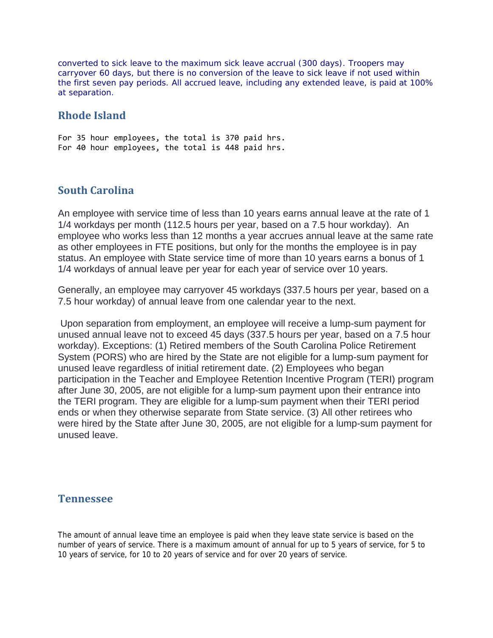converted to sick leave to the maximum sick leave accrual (300 days). Troopers may carryover 60 days, but there is no conversion of the leave to sick leave if not used within the first seven pay periods. All accrued leave, including any extended leave, is paid at 100% at separation.

## **Rhode Island**

For 35 hour employees, the total is 370 paid hrs. For 40 hour employees, the total is 448 paid hrs.

## **South Carolina**

An employee with service time of less than 10 years earns annual leave at the rate of 1 1/4 workdays per month (112.5 hours per year, based on a 7.5 hour workday). An employee who works less than 12 months a year accrues annual leave at the same rate as other employees in FTE positions, but only for the months the employee is in pay status. An employee with State service time of more than 10 years earns a bonus of 1 1/4 workdays of annual leave per year for each year of service over 10 years.

Generally, an employee may carryover 45 workdays (337.5 hours per year, based on a 7.5 hour workday) of annual leave from one calendar year to the next.

Upon separation from employment, an employee will receive a lump-sum payment for unused annual leave not to exceed 45 days (337.5 hours per year, based on a 7.5 hour workday). Exceptions: (1) Retired members of the South Carolina Police Retirement System (PORS) who are hired by the State are not eligible for a lump-sum payment for unused leave regardless of initial retirement date. (2) Employees who began participation in the Teacher and Employee Retention Incentive Program (TERI) program after June 30, 2005, are not eligible for a lump-sum payment upon their entrance into the TERI program. They are eligible for a lump-sum payment when their TERI period ends or when they otherwise separate from State service. (3) All other retirees who were hired by the State after June 30, 2005, are not eligible for a lump-sum payment for unused leave.

### **Tennessee**

The amount of annual leave time an employee is paid when they leave state service is based on the number of years of service. There is a maximum amount of annual for up to 5 years of service, for 5 to 10 years of service, for 10 to 20 years of service and for over 20 years of service.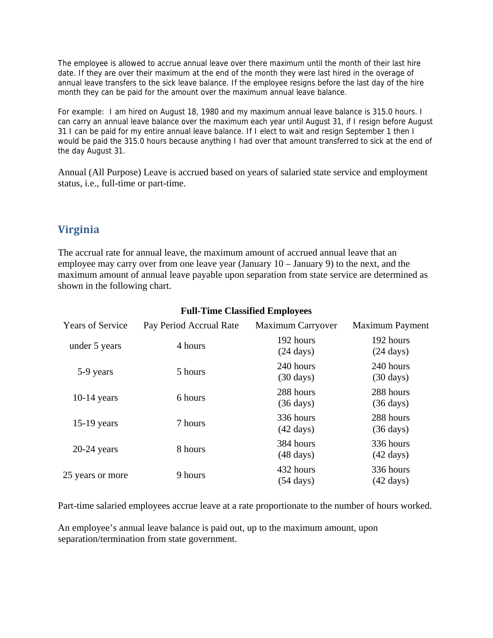The employee is allowed to accrue annual leave over there maximum until the month of their last hire date. If they are over their maximum at the end of the month they were last hired in the overage of annual leave transfers to the sick leave balance. If the employee resigns before the last day of the hire month they can be paid for the amount over the maximum annual leave balance.

For example: I am hired on August 18, 1980 and my maximum annual leave balance is 315.0 hours. I can carry an annual leave balance over the maximum each year until August 31, if I resign before August 31 I can be paid for my entire annual leave balance. If I elect to wait and resign September 1 then I would be paid the 315.0 hours because anything I had over that amount transferred to sick at the end of the day August 31.

Annual (All Purpose) Leave is accrued based on years of salaried state service and employment status, i.e., full-time or part-time.

# **Virginia**

The accrual rate for annual leave, the maximum amount of accrued annual leave that an employee may carry over from one leave year (January 10 – January 9) to the next, and the maximum amount of annual leave payable upon separation from state service are determined as shown in the following chart.

| <b>Years of Service</b> | Pay Period Accrual Rate | <b>Maximum Carryover</b>         | <b>Maximum Payment</b>           |
|-------------------------|-------------------------|----------------------------------|----------------------------------|
| under 5 years           | 4 hours                 | 192 hours<br>$(24 \text{ days})$ | 192 hours<br>$(24 \text{ days})$ |
| 5-9 years               | 5 hours                 | 240 hours<br>$(30 \text{ days})$ | 240 hours<br>$(30 \text{ days})$ |
| $10-14$ years           | 6 hours                 | 288 hours<br>$(36 \text{ days})$ | 288 hours<br>$(36 \text{ days})$ |
| $15-19$ years           | 7 hours                 | 336 hours<br>$(42 \text{ days})$ | 288 hours<br>$(36 \text{ days})$ |
| $20-24$ years           | 8 hours                 | 384 hours<br>$(48 \text{ days})$ | 336 hours<br>$(42 \text{ days})$ |
| 25 years or more        | 9 hours                 | 432 hours<br>$(54 \text{ days})$ | 336 hours<br>$(42 \text{ days})$ |

#### **Full-Time Classified Employees**

Part-time salaried employees accrue leave at a rate proportionate to the number of hours worked.

An employee's annual leave balance is paid out, up to the maximum amount, upon separation/termination from state government.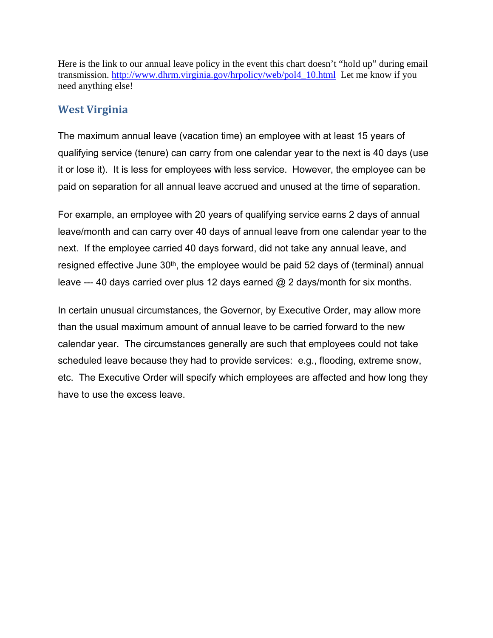Here is the link to our annual leave policy in the event this chart doesn't "hold up" during email transmission. http://www.dhrm.virginia.gov/hrpolicy/web/pol4\_10.html Let me know if you need anything else!

# **West Virginia**

The maximum annual leave (vacation time) an employee with at least 15 years of qualifying service (tenure) can carry from one calendar year to the next is 40 days (use it or lose it). It is less for employees with less service. However, the employee can be paid on separation for all annual leave accrued and unused at the time of separation.

For example, an employee with 20 years of qualifying service earns 2 days of annual leave/month and can carry over 40 days of annual leave from one calendar year to the next. If the employee carried 40 days forward, did not take any annual leave, and resigned effective June 30th, the employee would be paid 52 days of (terminal) annual leave --- 40 days carried over plus 12 days earned @ 2 days/month for six months.

In certain unusual circumstances, the Governor, by Executive Order, may allow more than the usual maximum amount of annual leave to be carried forward to the new calendar year. The circumstances generally are such that employees could not take scheduled leave because they had to provide services: e.g., flooding, extreme snow, etc. The Executive Order will specify which employees are affected and how long they have to use the excess leave.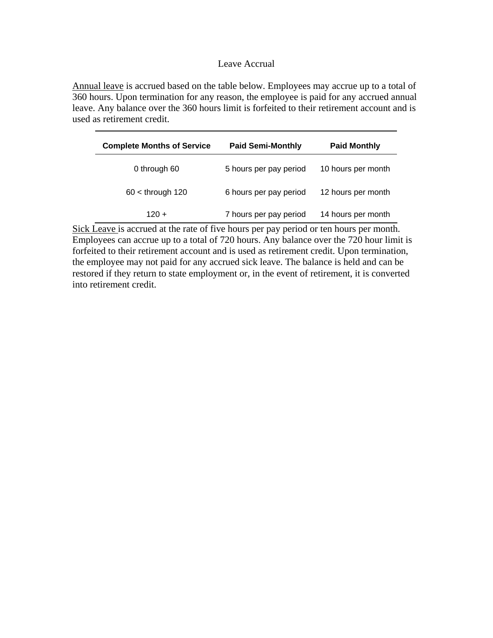#### Leave Accrual

Annual leave is accrued based on the table below. Employees may accrue up to a total of 360 hours. Upon termination for any reason, the employee is paid for any accrued annual leave. Any balance over the 360 hours limit is forfeited to their retirement account and is used as retirement credit.

| <b>Complete Months of Service</b> | <b>Paid Semi-Monthly</b> | <b>Paid Monthly</b> |
|-----------------------------------|--------------------------|---------------------|
| 0 through 60                      | 5 hours per pay period   | 10 hours per month  |
| $60 <$ through 120                | 6 hours per pay period   | 12 hours per month  |
| $120 +$                           | 7 hours per pay period   | 14 hours per month  |

Sick Leave is accrued at the rate of five hours per pay period or ten hours per month. Employees can accrue up to a total of 720 hours. Any balance over the 720 hour limit is forfeited to their retirement account and is used as retirement credit. Upon termination, the employee may not paid for any accrued sick leave. The balance is held and can be restored if they return to state employment or, in the event of retirement, it is converted into retirement credit.